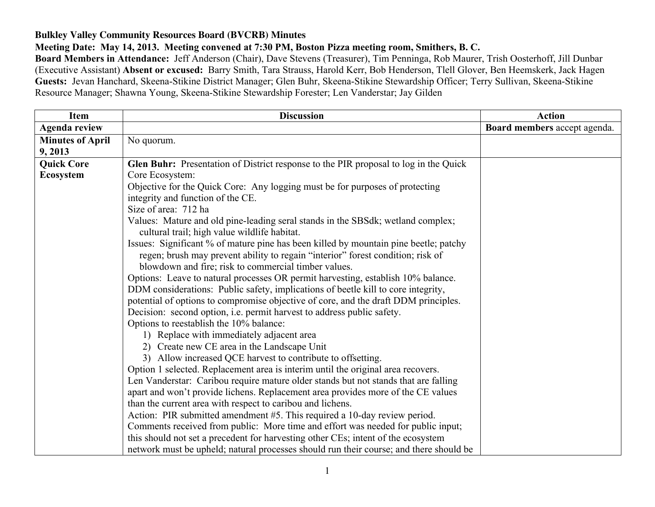## **Bulkley Valley Community Resources Board (BVCRB) Minutes**

**Meeting Date: May 14, 2013. Meeting convened at 7:30 PM, Boston Pizza meeting room, Smithers, B. C.**

**Board Members in Attendance:** Jeff Anderson (Chair), Dave Stevens (Treasurer), Tim Penninga, Rob Maurer, Trish Oosterhoff, Jill Dunbar (Executive Assistant) **Absent or excused:** Barry Smith, Tara Strauss, Harold Kerr, Bob Henderson, Tlell Glover, Ben Heemskerk, Jack Hagen **Guests:** Jevan Hanchard, Skeena-Stikine District Manager; Glen Buhr, Skeena-Stikine Stewardship Officer; Terry Sullivan, Skeena-Stikine Resource Manager; Shawna Young, Skeena-Stikine Stewardship Forester; Len Vanderstar; Jay Gilden

| <b>Item</b>             | <b>Discussion</b>                                                                                                                              | <b>Action</b>                |
|-------------------------|------------------------------------------------------------------------------------------------------------------------------------------------|------------------------------|
| <b>Agenda review</b>    |                                                                                                                                                | Board members accept agenda. |
| <b>Minutes of April</b> | No quorum.                                                                                                                                     |                              |
| 9, 2013                 |                                                                                                                                                |                              |
| <b>Quick Core</b>       | Glen Buhr: Presentation of District response to the PIR proposal to log in the Quick                                                           |                              |
| <b>Ecosystem</b>        | Core Ecosystem:                                                                                                                                |                              |
|                         | Objective for the Quick Core: Any logging must be for purposes of protecting                                                                   |                              |
|                         | integrity and function of the CE.                                                                                                              |                              |
|                         | Size of area: 712 ha                                                                                                                           |                              |
|                         | Values: Mature and old pine-leading seral stands in the SBSdk; wetland complex;                                                                |                              |
|                         | cultural trail; high value wildlife habitat.                                                                                                   |                              |
|                         | Issues: Significant % of mature pine has been killed by mountain pine beetle; patchy                                                           |                              |
|                         | regen; brush may prevent ability to regain "interior" forest condition; risk of                                                                |                              |
|                         | blowdown and fire; risk to commercial timber values.                                                                                           |                              |
|                         | Options: Leave to natural processes OR permit harvesting, establish 10% balance.                                                               |                              |
|                         | DDM considerations: Public safety, implications of beetle kill to core integrity,                                                              |                              |
|                         | potential of options to compromise objective of core, and the draft DDM principles.                                                            |                              |
|                         | Decision: second option, i.e. permit harvest to address public safety.                                                                         |                              |
|                         | Options to reestablish the 10% balance:                                                                                                        |                              |
|                         | 1) Replace with immediately adjacent area                                                                                                      |                              |
|                         | 2) Create new CE area in the Landscape Unit                                                                                                    |                              |
|                         | 3) Allow increased QCE harvest to contribute to offsetting.                                                                                    |                              |
|                         | Option 1 selected. Replacement area is interim until the original area recovers.                                                               |                              |
|                         | Len Vanderstar: Caribou require mature older stands but not stands that are falling                                                            |                              |
|                         | apart and won't provide lichens. Replacement area provides more of the CE values<br>than the current area with respect to caribou and lichens. |                              |
|                         | Action: PIR submitted amendment #5. This required a 10-day review period.                                                                      |                              |
|                         | Comments received from public: More time and effort was needed for public input;                                                               |                              |
|                         | this should not set a precedent for harvesting other CEs; intent of the ecosystem                                                              |                              |
|                         | network must be upheld; natural processes should run their course; and there should be                                                         |                              |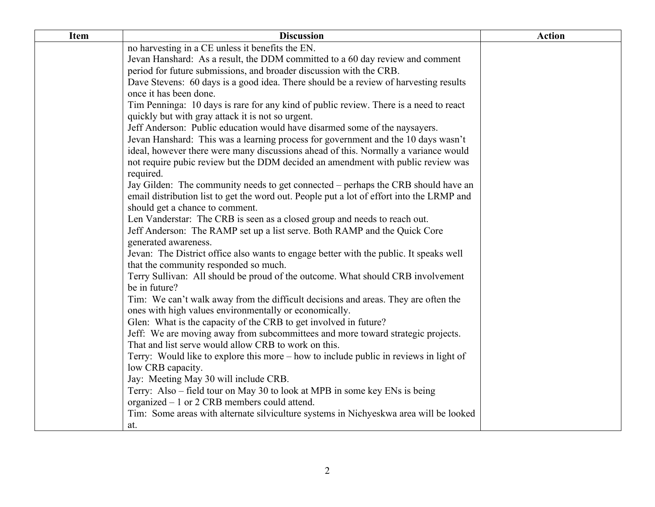| <b>Item</b> | <b>Discussion</b>                                                                         | <b>Action</b> |
|-------------|-------------------------------------------------------------------------------------------|---------------|
|             | no harvesting in a CE unless it benefits the EN.                                          |               |
|             | Jevan Hanshard: As a result, the DDM committed to a 60 day review and comment             |               |
|             | period for future submissions, and broader discussion with the CRB.                       |               |
|             | Dave Stevens: 60 days is a good idea. There should be a review of harvesting results      |               |
|             | once it has been done.                                                                    |               |
|             | Tim Penninga: 10 days is rare for any kind of public review. There is a need to react     |               |
|             | quickly but with gray attack it is not so urgent.                                         |               |
|             | Jeff Anderson: Public education would have disarmed some of the naysayers.                |               |
|             | Jevan Hanshard: This was a learning process for government and the 10 days wasn't         |               |
|             | ideal, however there were many discussions ahead of this. Normally a variance would       |               |
|             | not require pubic review but the DDM decided an amendment with public review was          |               |
|             | required.                                                                                 |               |
|             | Jay Gilden: The community needs to get connected – perhaps the CRB should have an         |               |
|             | email distribution list to get the word out. People put a lot of effort into the LRMP and |               |
|             | should get a chance to comment.                                                           |               |
|             | Len Vanderstar: The CRB is seen as a closed group and needs to reach out.                 |               |
|             | Jeff Anderson: The RAMP set up a list serve. Both RAMP and the Quick Core                 |               |
|             | generated awareness.                                                                      |               |
|             | Jevan: The District office also wants to engage better with the public. It speaks well    |               |
|             | that the community responded so much.                                                     |               |
|             | Terry Sullivan: All should be proud of the outcome. What should CRB involvement           |               |
|             | be in future?                                                                             |               |
|             | Tim: We can't walk away from the difficult decisions and areas. They are often the        |               |
|             | ones with high values environmentally or economically.                                    |               |
|             | Glen: What is the capacity of the CRB to get involved in future?                          |               |
|             | Jeff: We are moving away from subcommittees and more toward strategic projects.           |               |
|             | That and list serve would allow CRB to work on this.                                      |               |
|             | Terry: Would like to explore this more – how to include public in reviews in light of     |               |
|             | low CRB capacity.                                                                         |               |
|             | Jay: Meeting May 30 will include CRB.                                                     |               |
|             | Terry: Also – field tour on May 30 to look at MPB in some key ENs is being                |               |
|             | organized $-1$ or 2 CRB members could attend.                                             |               |
|             | Tim: Some areas with alternate silviculture systems in Nichyeskwa area will be looked     |               |
|             | at.                                                                                       |               |